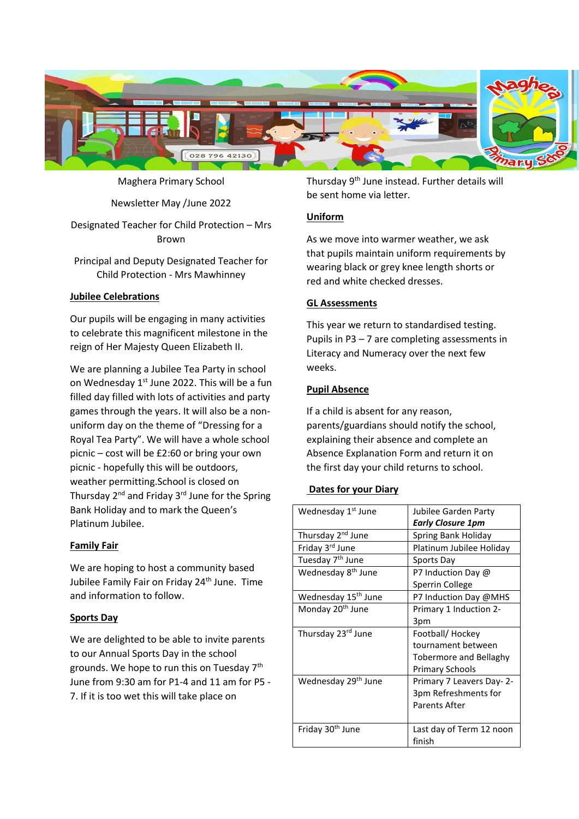

Maghera Primary School

Newsletter May /June 2022

# Designated Teacher for Child Protection – Mrs Brown

Principal and Deputy Designated Teacher for Child Protection - Mrs Mawhinney

## **Jubilee Celebrations**

Our pupils will be engaging in many activities to celebrate this magnificent milestone in the reign of Her Majesty Queen Elizabeth II.

We are planning a Jubilee Tea Party in school on Wednesday  $1<sup>st</sup>$  June 2022. This will be a fun filled day filled with lots of activities and party games through the years. It will also be a nonuniform day on the theme of "Dressing for a Royal Tea Party". We will have a whole school picnic – cost will be £2:60 or bring your own picnic - hopefully this will be outdoors, weather permitting.School is closed on Thursday 2nd and Friday 3rd June for the Spring Bank Holiday and to mark the Queen's Platinum Jubilee.

### **Family Fair**

We are hoping to host a community based Jubilee Family Fair on Friday 24<sup>th</sup> June. Time and information to follow.

### **Sports Day**

We are delighted to be able to invite parents to our Annual Sports Day in the school grounds. We hope to run this on Tuesday 7th June from 9:30 am for P1-4 and 11 am for P5 - 7. If it is too wet this will take place on

Thursday 9<sup>th</sup> June instead. Further details will be sent home via letter.

## **Uniform**

As we move into warmer weather, we ask that pupils maintain uniform requirements by wearing black or grey knee length shorts or red and white checked dresses.

## **GL Assessments**

This year we return to standardised testing. Pupils in P3 – 7 are completing assessments in Literacy and Numeracy over the next few weeks.

## **Pupil Absence**

If a child is absent for any reason, parents/guardians should notify the school, explaining their absence and complete an Absence Explanation Form and return it on the first day your child returns to school.

### **Dates for your Diary**

| Wednesday 1 <sup>st</sup> June  | Jubilee Garden Party      |
|---------------------------------|---------------------------|
|                                 | Early Closure 1pm         |
| Thursday 2 <sup>nd</sup> June   | Spring Bank Holiday       |
| Friday 3 <sup>rd</sup> June     | Platinum Jubilee Holiday  |
| Tuesday 7 <sup>th</sup> June    | Sports Day                |
| Wednesday 8 <sup>th</sup> June  | P7 Induction Day @        |
|                                 | Sperrin College           |
| Wednesday 15 <sup>th</sup> June | P7 Induction Day @MHS     |
| Monday 20 <sup>th</sup> June    | Primary 1 Induction 2-    |
|                                 | 3pm                       |
| Thursday 23rd June              | Football/ Hockey          |
|                                 | tournament between        |
|                                 | Tobermore and Bellaghy    |
|                                 | Primary Schools           |
| Wednesday 29 <sup>th</sup> June | Primary 7 Leavers Day- 2- |
|                                 | 3pm Refreshments for      |
|                                 | Parents After             |
|                                 |                           |
| Friday 30 <sup>th</sup> June    | Last day of Term 12 noon  |
|                                 | finish                    |